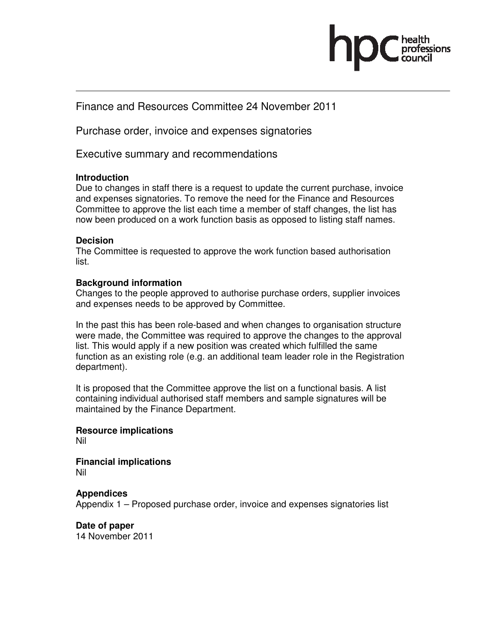

## Finance and Resources Committee 24 November 2011

Purchase order, invoice and expenses signatories

Executive summary and recommendations

#### **Introduction**

Due to changes in staff there is a request to update the current purchase, invoice and expenses signatories. To remove the need for the Finance and Resources Committee to approve the list each time a member of staff changes, the list has now been produced on a work function basis as opposed to listing staff names.

### **Decision**

The Committee is requested to approve the work function based authorisation list.

### **Background information**

Changes to the people approved to authorise purchase orders, supplier invoices and expenses needs to be approved by Committee.

In the past this has been role-based and when changes to organisation structure were made, the Committee was required to approve the changes to the approval list. This would apply if a new position was created which fulfilled the same function as an existing role (e.g. an additional team leader role in the Registration department).

It is proposed that the Committee approve the list on a functional basis. A list containing individual authorised staff members and sample signatures will be maintained by the Finance Department.

**Resource implications**  Nil

**Financial implications**  Nil

# **Appendices**

Appendix 1 – Proposed purchase order, invoice and expenses signatories list

**Date of paper**  14 November 2011